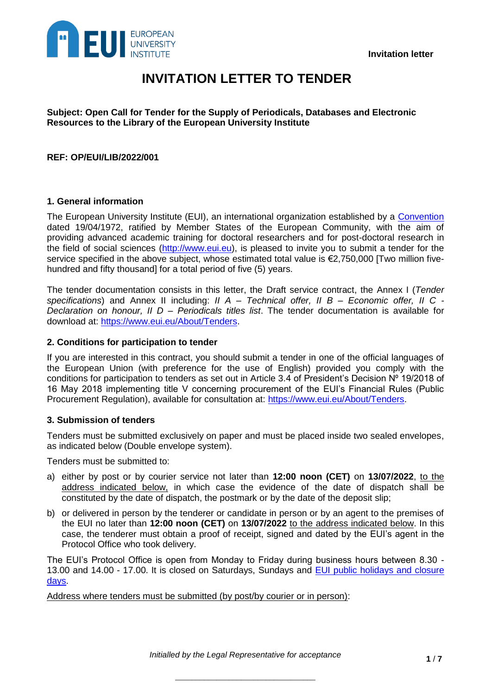

# **INVITATION LETTER TO TENDER**

**Subject: Open Call for Tender for the Supply of Periodicals, Databases and Electronic Resources to the Library of the European University Institute**

## **REF: OP/EUI/LIB/2022/001**

## **1. General information**

The European University Institute (EUI), an international organization established by a [Convention](https://www.eui.eu/Documents/AboutEUI/Convention/Consolidated-Convention-following-UK-exit.pdf) dated 19/04/1972, ratified by Member States of the European Community, with the aim of providing advanced academic training for doctoral researchers and for post-doctoral research in the field of social sciences [\(http://www.eui.eu\)](http://www.eui.eu/), is pleased to invite you to submit a tender for the service specified in the above subject, whose estimated total value is €2,750,000 [Two million fivehundred and fifty thousand] for a total period of five (5) years.

The tender documentation consists in this letter, the Draft service contract, the Annex I (*Tender specifications*) and Annex II including: *II A – Technical offer, II B – Economic offer, II C - Declaration on honour, II D – Periodicals titles list*. The tender documentation is available for download at: [https://www.eui.eu/About/Tenders.](https://www.eui.eu/About/Tenders)

## **2. Conditions for participation to tender**

If you are interested in this contract, you should submit a tender in one of the official languages of the European Union (with preference for the use of English) provided you comply with the conditions for participation to tenders as set out in Article 3.4 of President's Decision Nº 19/2018 of 16 May 2018 implementing title V concerning procurement of the EUI's Financial Rules (Public Procurement Regulation), available for consultation at: [https://www.eui.eu/About/Tenders.](https://www.eui.eu/About/Tenders)

#### **3. Submission of tenders**

Tenders must be submitted exclusively on paper and must be placed inside two sealed envelopes, as indicated below (Double envelope system).

Tenders must be submitted to:

- a) either by post or by courier service not later than **12:00 noon (CET)** on **13/07/2022**, to the address indicated below, in which case the evidence of the date of dispatch shall be constituted by the date of dispatch, the postmark or by the date of the deposit slip;
- b) or delivered in person by the tenderer or candidate in person or by an agent to the premises of the EUI no later than **12:00 noon (CET)** on **13/07/2022** to the address indicated below. In this case, the tenderer must obtain a proof of receipt, signed and dated by the EUI's agent in the Protocol Office who took delivery.

The EUI's Protocol Office is open from Monday to Friday during business hours between 8.30 - 13.00 and 14.00 - 17.00. It is closed on Saturdays, Sundays and **EUI public holidays and closure** [days.](https://www.eui.eu/servicesandadmin/personnelservice/workingconditions/holidays)

Address where tenders must be submitted (by post/by courier or in person):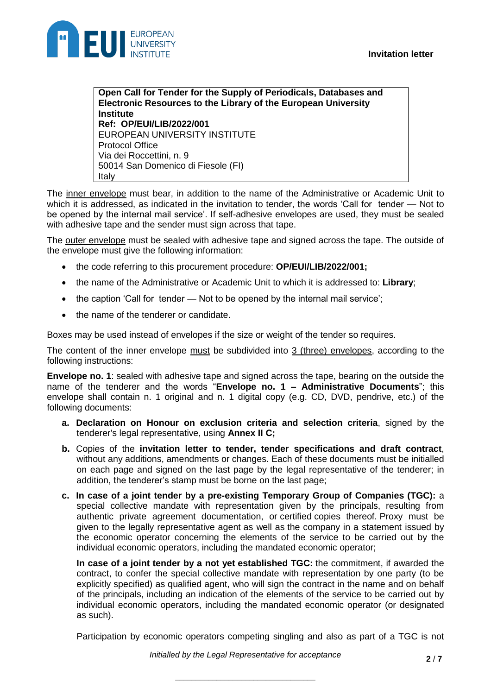

**Open Call for Tender for the Supply of Periodicals, Databases and Electronic Resources to the Library of the European University Institute Ref: OP/EUI/LIB/2022/001** EUROPEAN UNIVERSITY INSTITUTE Protocol Office Via dei Roccettini, n. 9 50014 San Domenico di Fiesole (FI) Italy

The inner envelope must bear, in addition to the name of the Administrative or Academic Unit to which it is addressed, as indicated in the invitation to tender, the words 'Call for tender — Not to be opened by the internal mail service'. If self-adhesive envelopes are used, they must be sealed with adhesive tape and the sender must sign across that tape.

The outer envelope must be sealed with adhesive tape and signed across the tape. The outside of the envelope must give the following information:

- the code referring to this procurement procedure: **OP/EUI/LIB/2022/001;**
- the name of the Administrative or Academic Unit to which it is addressed to: **Library**;
- the caption 'Call for tender Not to be opened by the internal mail service';
- the name of the tenderer or candidate.

Boxes may be used instead of envelopes if the size or weight of the tender so requires.

The content of the inner envelope must be subdivided into 3 (three) envelopes, according to the following instructions:

**Envelope no. 1**: sealed with adhesive tape and signed across the tape, bearing on the outside the name of the tenderer and the words "**Envelope no. 1 – Administrative Documents**"; this envelope shall contain n. 1 original and n. 1 digital copy (e.g. CD, DVD, pendrive, etc.) of the following documents:

- **a. Declaration on Honour on exclusion criteria and selection criteria**, signed by the tenderer's legal representative, using **Annex II C;**
- **b.** Copies of the **invitation letter to tender, tender specifications and draft contract**, without any additions, amendments or changes. Each of these documents must be initialled on each page and signed on the last page by the legal representative of the tenderer; in addition, the tenderer's stamp must be borne on the last page;
- **c. In case of a joint tender by a pre-existing Temporary Group of Companies (TGC):** a special collective mandate with representation given by the principals, resulting from authentic private agreement documentation, or certified copies thereof. Proxy must be given to the legally representative agent as well as the company in a statement issued by the economic operator concerning the elements of the service to be carried out by the individual economic operators, including the mandated economic operator;

**In case of a joint tender by a not yet established TGC:** the commitment, if awarded the contract, to confer the special collective mandate with representation by one party (to be explicitly specified) as qualified agent, who will sign the contract in the name and on behalf of the principals, including an indication of the elements of the service to be carried out by individual economic operators, including the mandated economic operator (or designated as such).

Participation by economic operators competing singling and also as part of a TGC is not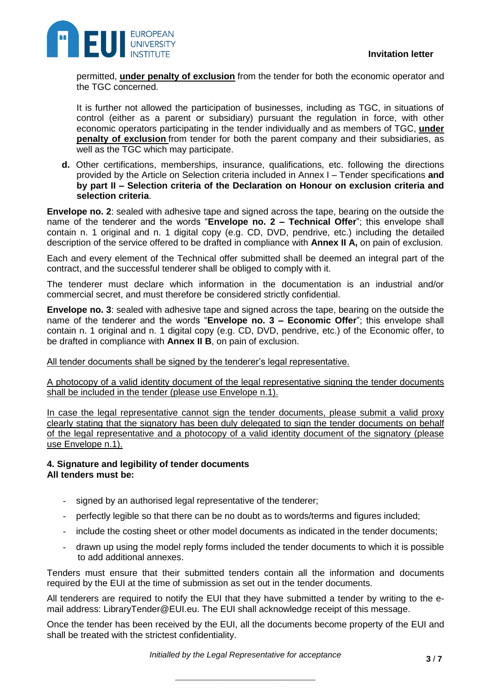

permitted, **under penalty of exclusion** from the tender for both the economic operator and the TGC concerned.

It is further not allowed the participation of businesses, including as TGC, in situations of control (either as a parent or subsidiary) pursuant the regulation in force, with other economic operators participating in the tender individually and as members of TGC, **under penalty of exclusion** from tender for both the parent company and their subsidiaries, as well as the TGC which may participate.

**d.** Other certifications, memberships, insurance, qualifications, etc. following the directions provided by the Article on Selection criteria included in Annex I – Tender specifications **and by part II – Selection criteria of the Declaration on Honour on exclusion criteria and selection criteria**.

**Envelope no. 2**: sealed with adhesive tape and signed across the tape, bearing on the outside the name of the tenderer and the words "**Envelope no. 2 – Technical Offer**"; this envelope shall contain n. 1 original and n. 1 digital copy (e.g. CD, DVD, pendrive, etc.) including the detailed description of the service offered to be drafted in compliance with **Annex II A,** on pain of exclusion.

Each and every element of the Technical offer submitted shall be deemed an integral part of the contract, and the successful tenderer shall be obliged to comply with it.

The tenderer must declare which information in the documentation is an industrial and/or commercial secret, and must therefore be considered strictly confidential.

**Envelope no. 3**: sealed with adhesive tape and signed across the tape, bearing on the outside the name of the tenderer and the words "**Envelope no. 3 – Economic Offer**"; this envelope shall contain n. 1 original and n. 1 digital copy (e.g. CD, DVD, pendrive, etc.) of the Economic offer, to be drafted in compliance with **Annex II B**, on pain of exclusion.

All tender documents shall be signed by the tenderer's legal representative.

A photocopy of a valid identity document of the legal representative signing the tender documents shall be included in the tender (please use Envelope n.1).

In case the legal representative cannot sign the tender documents, please submit a valid proxy clearly stating that the signatory has been duly delegated to sign the tender documents on behalf of the legal representative and a photocopy of a valid identity document of the signatory (please use Envelope n.1).

## **4. Signature and legibility of tender documents All tenders must be:**

- signed by an authorised legal representative of the tenderer;
- perfectly legible so that there can be no doubt as to words/terms and figures included;
- include the costing sheet or other model documents as indicated in the tender documents;
- drawn up using the model reply forms included the tender documents to which it is possible to add additional annexes.

Tenders must ensure that their submitted tenders contain all the information and documents required by the EUI at the time of submission as set out in the tender documents.

All tenderers are required to notify the EUI that they have submitted a tender by writing to the email address: LibraryTender@EUI.eu. The EUI shall acknowledge receipt of this message.

Once the tender has been received by the EUI, all the documents become property of the EUI and shall be treated with the strictest confidentiality.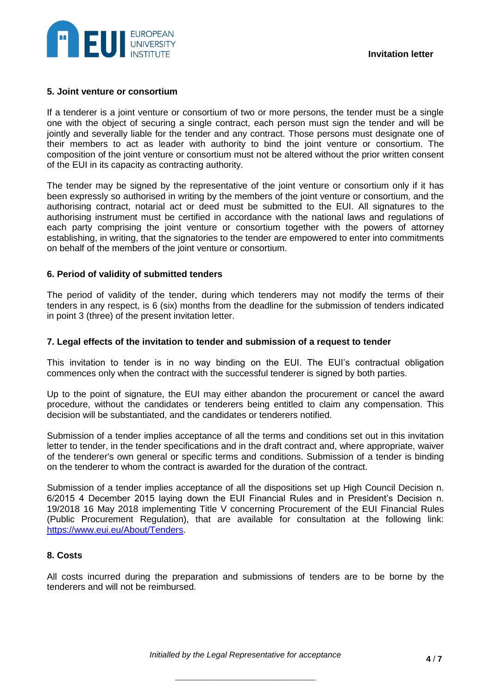

#### **5. Joint venture or consortium**

If a tenderer is a joint venture or consortium of two or more persons, the tender must be a single one with the object of securing a single contract, each person must sign the tender and will be jointly and severally liable for the tender and any contract. Those persons must designate one of their members to act as leader with authority to bind the joint venture or consortium. The composition of the joint venture or consortium must not be altered without the prior written consent of the EUI in its capacity as contracting authority.

The tender may be signed by the representative of the joint venture or consortium only if it has been expressly so authorised in writing by the members of the joint venture or consortium, and the authorising contract, notarial act or deed must be submitted to the EUI. All signatures to the authorising instrument must be certified in accordance with the national laws and regulations of each party comprising the joint venture or consortium together with the powers of attorney establishing, in writing, that the signatories to the tender are empowered to enter into commitments on behalf of the members of the joint venture or consortium.

## **6. Period of validity of submitted tenders**

The period of validity of the tender, during which tenderers may not modify the terms of their tenders in any respect, is 6 (six) months from the deadline for the submission of tenders indicated in point 3 (three) of the present invitation letter.

#### **7. Legal effects of the invitation to tender and submission of a request to tender**

This invitation to tender is in no way binding on the EUI. The EUI's contractual obligation commences only when the contract with the successful tenderer is signed by both parties.

Up to the point of signature, the EUI may either abandon the procurement or cancel the award procedure, without the candidates or tenderers being entitled to claim any compensation. This decision will be substantiated, and the candidates or tenderers notified.

Submission of a tender implies acceptance of all the terms and conditions set out in this invitation letter to tender, in the tender specifications and in the draft contract and, where appropriate, waiver of the tenderer's own general or specific terms and conditions. Submission of a tender is binding on the tenderer to whom the contract is awarded for the duration of the contract.

Submission of a tender implies acceptance of all the dispositions set up High Council Decision n. 6/2015 4 December 2015 laying down the EUI Financial Rules and in President's Decision n. 19/2018 16 May 2018 implementing Title V concerning Procurement of the EUI Financial Rules (Public Procurement Regulation), that are available for consultation at the following link: [https://www.eui.eu/About/Tenders.](https://www.eui.eu/About/Tenders)

## **8. Costs**

All costs incurred during the preparation and submissions of tenders are to be borne by the tenderers and will not be reimbursed.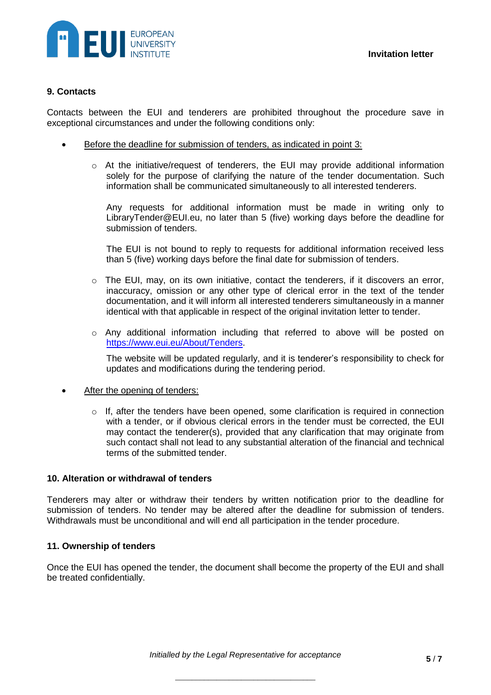

## **9. Contacts**

Contacts between the EUI and tenderers are prohibited throughout the procedure save in exceptional circumstances and under the following conditions only:

- Before the deadline for submission of tenders, as indicated in point 3:
	- o At the initiative/request of tenderers, the EUI may provide additional information solely for the purpose of clarifying the nature of the tender documentation. Such information shall be communicated simultaneously to all interested tenderers.

Any requests for additional information must be made in writing only to LibraryTender@EUI.eu, no later than 5 (five) working days before the deadline for submission of tenders.

The EUI is not bound to reply to requests for additional information received less than 5 (five) working days before the final date for submission of tenders.

- $\circ$  The EUI, may, on its own initiative, contact the tenderers, if it discovers an error, inaccuracy, omission or any other type of clerical error in the text of the tender documentation, and it will inform all interested tenderers simultaneously in a manner identical with that applicable in respect of the original invitation letter to tender.
- $\circ$  Any additional information including that referred to above will be posted on [https://www.eui.eu/About/Tenders.](https://www.eui.eu/About/Tenders)

The website will be updated regularly, and it is tenderer's responsibility to check for updates and modifications during the tendering period.

- After the opening of tenders:
	- $\circ$  If, after the tenders have been opened, some clarification is required in connection with a tender, or if obvious clerical errors in the tender must be corrected, the EUI may contact the tenderer(s), provided that any clarification that may originate from such contact shall not lead to any substantial alteration of the financial and technical terms of the submitted tender.

## **10. Alteration or withdrawal of tenders**

Tenderers may alter or withdraw their tenders by written notification prior to the deadline for submission of tenders. No tender may be altered after the deadline for submission of tenders. Withdrawals must be unconditional and will end all participation in the tender procedure.

#### **11. Ownership of tenders**

Once the EUI has opened the tender, the document shall become the property of the EUI and shall be treated confidentially.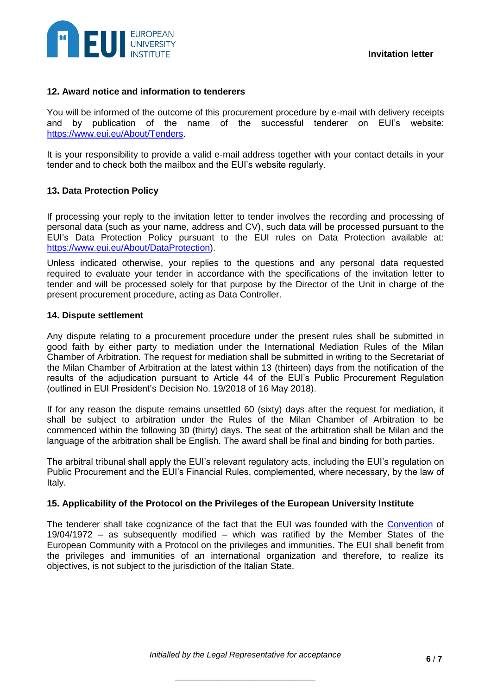

## **12. Award notice and information to tenderers**

You will be informed of the outcome of this procurement procedure by e-mail with delivery receipts and by publication of the name of the successful tenderer on EUI's website: [https://www.eui.eu/About/Tenders.](https://www.eui.eu/About/Tenders)

It is your responsibility to provide a valid e-mail address together with your contact details in your tender and to check both the mailbox and the EUI's website regularly.

# **13. Data Protection Policy**

If processing your reply to the invitation letter to tender involves the recording and processing of personal data (such as your name, address and CV), such data will be processed pursuant to the [EUI's Data Protection Policy](http://www.eui.eu/Documents/AboutEUI/Organization/PresidentDecisionOnPrivacy.pdf) pursuant to the EUI rules on Data Protection available at: [https://www.eui.eu/About/DataProtection\)](https://www.eui.eu/About/DataProtection).

Unless indicated otherwise, your replies to the questions and any personal data requested required to evaluate your tender in accordance with the specifications of the invitation letter to tender and will be processed solely for that purpose by the Director of the Unit in charge of the present procurement procedure, acting as Data Controller.

#### **14. Dispute settlement**

Any dispute relating to a procurement procedure under the present rules shall be submitted in good faith by either party to mediation under the International Mediation Rules of the Milan Chamber of Arbitration. The request for mediation shall be submitted in writing to the Secretariat of the Milan Chamber of Arbitration at the latest within 13 (thirteen) days from the notification of the results of the adjudication pursuant to Article 44 of the EUI's Public Procurement Regulation (outlined in EUI President's Decision No. 19/2018 of 16 May 2018).

If for any reason the dispute remains unsettled 60 (sixty) days after the request for mediation, it shall be subject to arbitration under the Rules of the Milan Chamber of Arbitration to be commenced within the following 30 (thirty) days. The seat of the arbitration shall be Milan and the language of the arbitration shall be English. The award shall be final and binding for both parties.

The arbitral tribunal shall apply the EUI's relevant regulatory acts, including the EUI's regulation on Public Procurement and the EUI's Financial Rules, complemented, where necessary, by the law of Italy.

#### **15. Applicability of the Protocol on the Privileges of the European University Institute**

The tenderer shall take cognizance of the fact that the EUI was founded with the [Convention](https://www.eui.eu/Documents/AboutEUI/Convention/Consolidated-Convention-following-UK-exit.pdf) of 19/04/1972 – as subsequently modified – which was ratified by the Member States of the European Community with a Protocol on the privileges and immunities. The EUI shall benefit from the privileges and immunities of an international organization and therefore, to realize its objectives, is not subject to the jurisdiction of the Italian State.